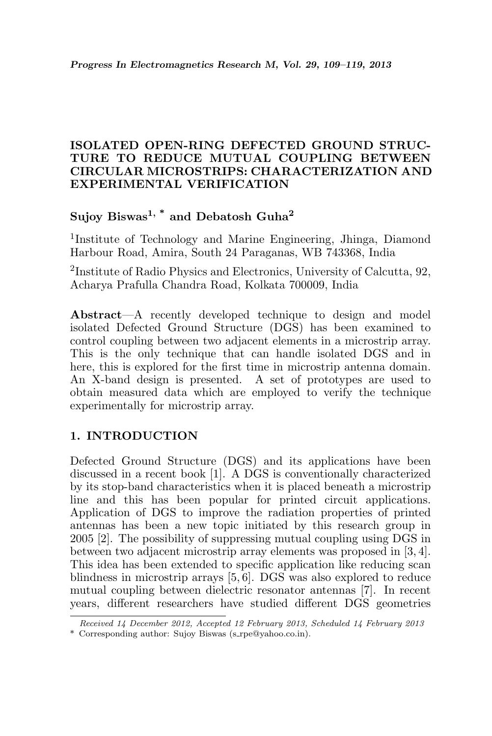## ISOLATED OPEN-RING DEFECTED GROUND STRUC-TURE TO REDUCE MUTUAL COUPLING BETWEEN CIRCULAR MICROSTRIPS: CHARACTERIZATION AND EXPERIMENTAL VERIFICATION

# Sujoy Biswas<sup>1, \*</sup> and Debatosh Guha<sup>2</sup>

<sup>1</sup>Institute of Technology and Marine Engineering, Jhinga, Diamond Harbour Road, Amira, South 24 Paraganas, WB 743368, India

2 Institute of Radio Physics and Electronics, University of Calcutta, 92, Acharya Prafulla Chandra Road, Kolkata 700009, India

Abstract—A recently developed technique to design and model isolated Defected Ground Structure (DGS) has been examined to control coupling between two adjacent elements in a microstrip array. This is the only technique that can handle isolated DGS and in here, this is explored for the first time in microstrip antenna domain. An X-band design is presented. A set of prototypes are used to obtain measured data which are employed to verify the technique experimentally for microstrip array.

## 1. INTRODUCTION

Defected Ground Structure (DGS) and its applications have been discussed in a recent book [1]. A DGS is conventionally characterized by its stop-band characteristics when it is placed beneath a microstrip line and this has been popular for printed circuit applications. Application of DGS to improve the radiation properties of printed antennas has been a new topic initiated by this research group in 2005 [2]. The possibility of suppressing mutual coupling using DGS in between two adjacent microstrip array elements was proposed in [3, 4]. This idea has been extended to specific application like reducing scan blindness in microstrip arrays [5, 6]. DGS was also explored to reduce mutual coupling between dielectric resonator antennas [7]. In recent years, different researchers have studied different DGS geometries

Received 14 December 2012, Accepted 12 February 2013, Scheduled 14 February 2013

<sup>\*</sup> Corresponding author: Sujoy Biswas (s rpe@yahoo.co.in).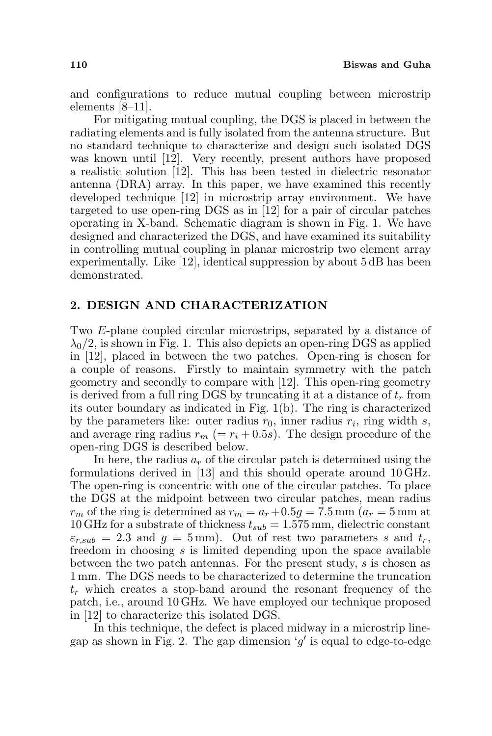and configurations to reduce mutual coupling between microstrip elements [8–11].

For mitigating mutual coupling, the DGS is placed in between the radiating elements and is fully isolated from the antenna structure. But no standard technique to characterize and design such isolated DGS was known until [12]. Very recently, present authors have proposed a realistic solution [12]. This has been tested in dielectric resonator antenna (DRA) array. In this paper, we have examined this recently developed technique [12] in microstrip array environment. We have targeted to use open-ring DGS as in [12] for a pair of circular patches operating in X-band. Schematic diagram is shown in Fig. 1. We have designed and characterized the DGS, and have examined its suitability in controlling mutual coupling in planar microstrip two element array experimentally. Like [12], identical suppression by about 5 dB has been demonstrated.

#### 2. DESIGN AND CHARACTERIZATION

Two E-plane coupled circular microstrips, separated by a distance of  $\lambda_0/2$ , is shown in Fig. 1. This also depicts an open-ring DGS as applied in [12], placed in between the two patches. Open-ring is chosen for a couple of reasons. Firstly to maintain symmetry with the patch geometry and secondly to compare with [12]. This open-ring geometry is derived from a full ring DGS by truncating it at a distance of  $t_r$  from its outer boundary as indicated in Fig. 1(b). The ring is characterized by the parameters like: outer radius  $r_0$ , inner radius  $r_i$ , ring width s, and average ring radius  $r_m$  (=  $r_i$  + 0.5s). The design procedure of the open-ring DGS is described below.

In here, the radius  $a_r$  of the circular patch is determined using the formulations derived in [13] and this should operate around 10 GHz. The open-ring is concentric with one of the circular patches. To place the DGS at the midpoint between two circular patches, mean radius  $r_m$  of the ring is determined as  $r_m = a_r + 0.5g = 7.5$  mm  $(a_r = 5$  mm at 10 GHz for a substrate of thickness  $t_{sub} = 1.575$  mm, dielectric constant  $\varepsilon_{r,sub} = 2.3$  and  $g = 5$  mm). Out of rest two parameters s and  $t_r$ , freedom in choosing s is limited depending upon the space available between the two patch antennas. For the present study, s is chosen as 1 mm. The DGS needs to be characterized to determine the truncation  $t_r$  which creates a stop-band around the resonant frequency of the patch, i.e., around 10 GHz. We have employed our technique proposed in [12] to characterize this isolated DGS.

In this technique, the defect is placed midway in a microstrip linegap as shown in Fig. 2. The gap dimension 'g' is equal to edge-to-edge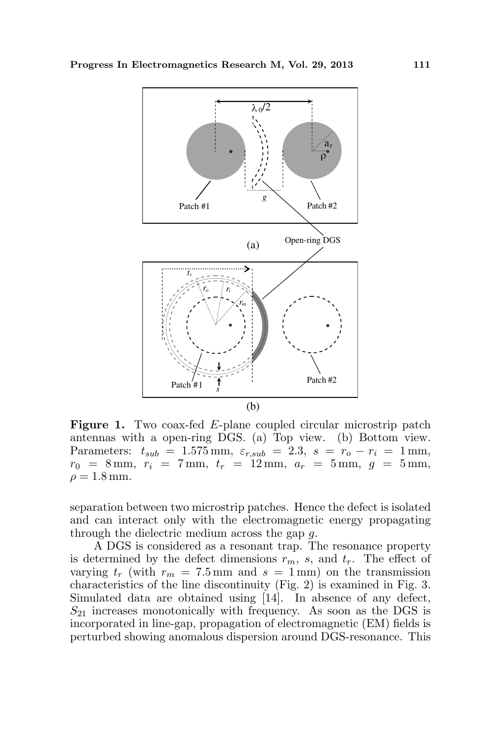

Figure 1. Two coax-fed E-plane coupled circular microstrip patch antennas with a open-ring DGS. (a) Top view. (b) Bottom view. Parameters:  $t_{sub} = 1.575$  mm,  $\varepsilon_{r,sub} = 2.3$ ,  $s = r_o - r_i = 1$  mm,  $r_0 = 8 \,\mathrm{mm}, r_i = 7 \,\mathrm{mm}, t_r = 12 \,\mathrm{mm}, a_r = 5 \,\mathrm{mm}, g = 5 \,\mathrm{mm},$  $\rho = 1.8$  mm.

separation between two microstrip patches. Hence the defect is isolated and can interact only with the electromagnetic energy propagating through the dielectric medium across the gap g.

A DGS is considered as a resonant trap. The resonance property is determined by the defect dimensions  $r_m$ , s, and  $t_r$ . The effect of varying  $t_r$  (with  $r_m = 7.5$  mm and  $s = 1$  mm) on the transmission characteristics of the line discontinuity (Fig. 2) is examined in Fig. 3. Simulated data are obtained using [14]. In absence of any defect,  $S_{21}$  increases monotonically with frequency. As soon as the DGS is incorporated in line-gap, propagation of electromagnetic (EM) fields is perturbed showing anomalous dispersion around DGS-resonance. This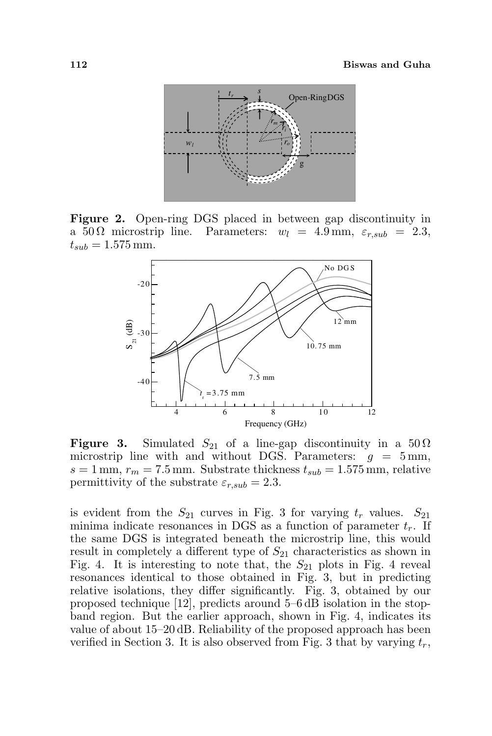

Figure 2. Open-ring DGS placed in between gap discontinuity in a 50 Ω microstrip line. Parameters:  $w_l = 4.9 \text{ mm}, \varepsilon_{r,sub} = 2.3$ ,  $t_{sub} = 1.575$  mm.



**Figure 3.** Simulated  $S_{21}$  of a line-gap discontinuity in a  $50 \Omega$ microstrip line with and without DGS. Parameters:  $g = 5$  mm,  $s = 1$  mm,  $r_m = 7.5$  mm. Substrate thickness  $t_{sub} = 1.575$  mm, relative permittivity of the substrate  $\varepsilon_{r,sub} = 2.3$ .

is evident from the  $S_{21}$  curves in Fig. 3 for varying  $t_r$  values.  $S_{21}$ minima indicate resonances in DGS as a function of parameter  $t_r$ . If the same DGS is integrated beneath the microstrip line, this would result in completely a different type of  $S_{21}$  characteristics as shown in Fig. 4. It is interesting to note that, the  $S_{21}$  plots in Fig. 4 reveal resonances identical to those obtained in Fig. 3, but in predicting relative isolations, they differ significantly. Fig. 3, obtained by our proposed technique [12], predicts around 5–6 dB isolation in the stopband region. But the earlier approach, shown in Fig. 4, indicates its value of about 15–20 dB. Reliability of the proposed approach has been verified in Section 3. It is also observed from Fig. 3 that by varying  $t_r$ ,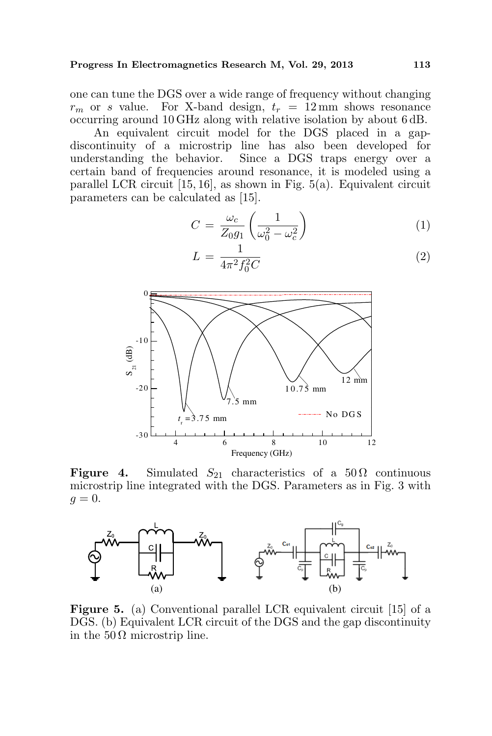one can tune the DGS over a wide range of frequency without changing  $r_m$  or s value. For X-band design,  $t_r = 12$  mm shows resonance occurring around 10 GHz along with relative isolation by about 6 dB.

An equivalent circuit model for the DGS placed in a gapdiscontinuity of a microstrip line has also been developed for understanding the behavior. Since a DGS traps energy over a certain band of frequencies around resonance, it is modeled using a parallel LCR circuit [15, 16], as shown in Fig. 5(a). Equivalent circuit parameters can be calculated as [15].

$$
C = \frac{\omega_c}{Z_0 g_1} \left( \frac{1}{\omega_0^2 - \omega_c^2} \right) \tag{1}
$$

$$
L = \frac{1}{4\pi^2 f_0^2 C} \tag{2}
$$



Figure 4. Simulated  $S_{21}$  characteristics of a 50  $\Omega$  continuous microstrip line integrated with the DGS. Parameters as in Fig. 3 with  $q=0.$ 



Figure 5. (a) Conventional parallel LCR equivalent circuit [15] of a DGS. (b) Equivalent LCR circuit of the DGS and the gap discontinuity in the  $50 \Omega$  microstrip line.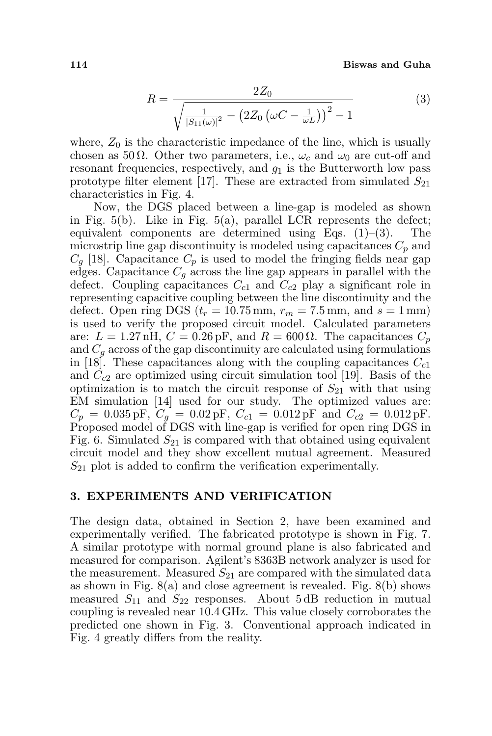114 Biswas and Guha

$$
R = \frac{2Z_0}{\sqrt{\frac{1}{|S_{11}(\omega)|^2} - (2Z_0(\omega C - \frac{1}{\omega L}))^2} - 1}
$$
(3)

where,  $Z_0$  is the characteristic impedance of the line, which is usually chosen as 50  $\Omega$ . Other two parameters, i.e.,  $\omega_c$  and  $\omega_0$  are cut-off and resonant frequencies, respectively, and  $g_1$  is the Butterworth low pass prototype filter element [17]. These are extracted from simulated  $S_{21}$ characteristics in Fig. 4.

Now, the DGS placed between a line-gap is modeled as shown in Fig.  $5(b)$ . Like in Fig.  $5(a)$ , parallel LCR represents the defect; equivalent components are determined using Eqs.  $(1)$ – $(3)$ . The microstrip line gap discontinuity is modeled using capacitances  $C_p$  and  $C_q$  [18]. Capacitance  $C_p$  is used to model the fringing fields near gap edges. Capacitance  $C_q$  across the line gap appears in parallel with the defect. Coupling capacitances  $C_{c1}$  and  $C_{c2}$  play a significant role in representing capacitive coupling between the line discontinuity and the defect. Open ring DGS  $(t_r = 10.75 \text{ mm}, r_m = 7.5 \text{ mm}, \text{ and } s = 1 \text{ mm})$ is used to verify the proposed circuit model. Calculated parameters are:  $L = 1.27$  nH,  $C = 0.26$  pF, and  $R = 600 \Omega$ . The capacitances  $C_p$ and  $C_q$  across of the gap discontinuity are calculated using formulations in [18]. These capacitances along with the coupling capacitances  $C_{c1}$ and  $C_{c2}$  are optimized using circuit simulation tool [19]. Basis of the optimization is to match the circuit response of  $S_{21}$  with that using EM simulation [14] used for our study. The optimized values are:  $C_p = 0.035 \,\text{pF}, C_q = 0.02 \,\text{pF}, C_{c1} = 0.012 \,\text{pF}$  and  $C_{c2} = 0.012 \,\text{pF}.$ Proposed model of DGS with line-gap is verified for open ring DGS in Fig. 6. Simulated  $S_{21}$  is compared with that obtained using equivalent circuit model and they show excellent mutual agreement. Measured  $S_{21}$  plot is added to confirm the verification experimentally.

#### 3. EXPERIMENTS AND VERIFICATION

The design data, obtained in Section 2, have been examined and experimentally verified. The fabricated prototype is shown in Fig. 7. A similar prototype with normal ground plane is also fabricated and measured for comparison. Agilent's 8363B network analyzer is used for the measurement. Measured  $S_{21}$  are compared with the simulated data as shown in Fig.  $8(a)$  and close agreement is revealed. Fig.  $8(b)$  shows measured  $S_{11}$  and  $S_{22}$  responses. About 5 dB reduction in mutual coupling is revealed near 10.4 GHz. This value closely corroborates the predicted one shown in Fig. 3. Conventional approach indicated in Fig. 4 greatly differs from the reality.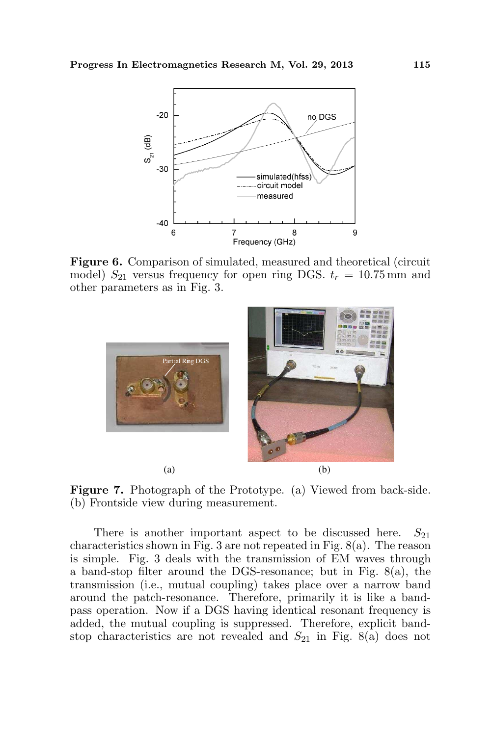

Figure 6. Comparison of simulated, measured and theoretical (circuit model)  $S_{21}$  versus frequency for open ring DGS.  $t_r = 10.75$  mm and other parameters as in Fig. 3.



Figure 7. Photograph of the Prototype. (a) Viewed from back-side. (b) Frontside view during measurement.

There is another important aspect to be discussed here.  $S_{21}$ characteristics shown in Fig. 3 are not repeated in Fig. 8(a). The reason is simple. Fig. 3 deals with the transmission of EM waves through a band-stop filter around the DGS-resonance; but in Fig. 8(a), the transmission (i.e., mutual coupling) takes place over a narrow band around the patch-resonance. Therefore, primarily it is like a bandpass operation. Now if a DGS having identical resonant frequency is added, the mutual coupling is suppressed. Therefore, explicit bandstop characteristics are not revealed and  $S_{21}$  in Fig. 8(a) does not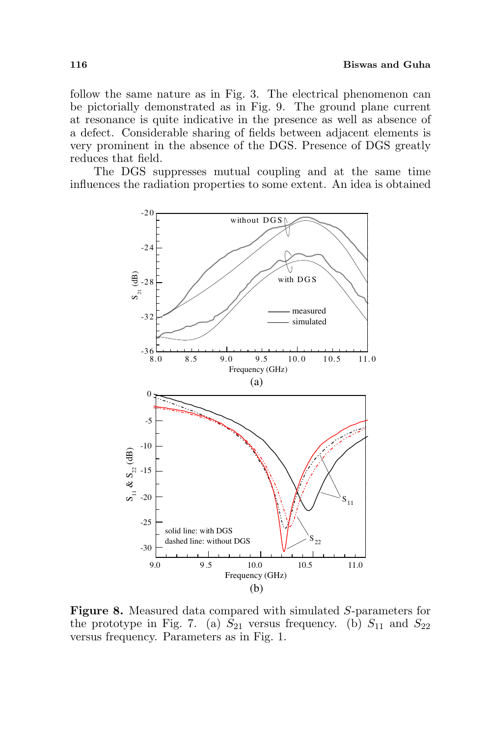follow the same nature as in Fig. 3. The electrical phenomenon can be pictorially demonstrated as in Fig. 9. The ground plane current at resonance is quite indicative in the presence as well as absence of a defect. Considerable sharing of fields between adjacent elements is very prominent in the absence of the DGS. Presence of DGS greatly reduces that field.

The DGS suppresses mutual coupling and at the same time influences the radiation properties to some extent. An idea is obtained



Figure 8. Measured data compared with simulated S-parameters for the prototype in Fig. 7. (a)  $S_{21}$  versus frequency. (b)  $S_{11}$  and  $S_{22}$ versus frequency. Parameters as in Fig. 1.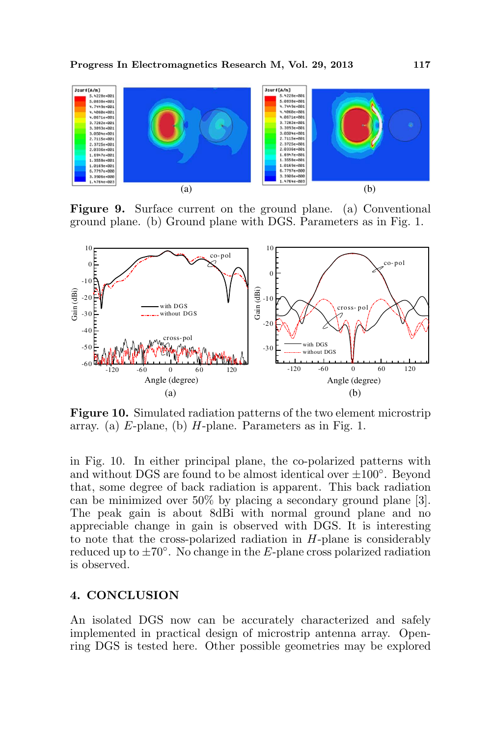

Figure 9. Surface current on the ground plane. (a) Conventional ground plane. (b) Ground plane with DGS. Parameters as in Fig. 1.



Figure 10. Simulated radiation patterns of the two element microstrip array. (a) E-plane, (b) H-plane. Parameters as in Fig. 1.

in Fig. 10. In either principal plane, the co-polarized patterns with and without DGS are found to be almost identical over  $\pm 100^{\circ}$ . Beyond that, some degree of back radiation is apparent. This back radiation can be minimized over 50% by placing a secondary ground plane [3]. The peak gain is about 8dBi with normal ground plane and no appreciable change in gain is observed with DGS. It is interesting to note that the cross-polarized radiation in  $H$ -plane is considerably reduced up to  $\pm 70^{\circ}$ . No change in the E-plane cross polarized radiation is observed.

### 4. CONCLUSION

An isolated DGS now can be accurately characterized and safely implemented in practical design of microstrip antenna array. Openring DGS is tested here. Other possible geometries may be explored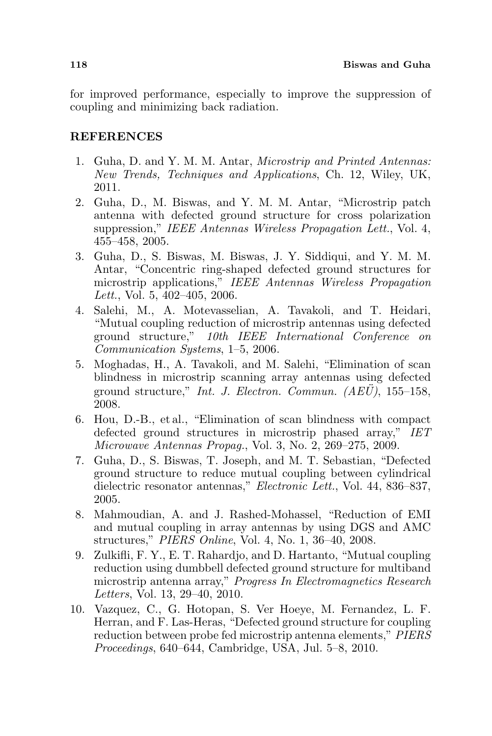for improved performance, especially to improve the suppression of coupling and minimizing back radiation.

## **REFERENCES**

- 1. Guha, D. and Y. M. M. Antar, Microstrip and Printed Antennas: New Trends, Techniques and Applications, Ch. 12, Wiley, UK, 2011.
- 2. Guha, D., M. Biswas, and Y. M. M. Antar, "Microstrip patch antenna with defected ground structure for cross polarization suppression," IEEE Antennas Wireless Propagation Lett., Vol. 4, 455–458, 2005.
- 3. Guha, D., S. Biswas, M. Biswas, J. Y. Siddiqui, and Y. M. M. Antar, "Concentric ring-shaped defected ground structures for microstrip applications," IEEE Antennas Wireless Propagation Lett., Vol. 5, 402–405, 2006.
- 4. Salehi, M., A. Motevasselian, A. Tavakoli, and T. Heidari, "Mutual coupling reduction of microstrip antennas using defected ground structure," 10th IEEE International Conference on Communication Systems, 1–5, 2006.
- 5. Moghadas, H., A. Tavakoli, and M. Salehi, "Elimination of scan blindness in microstrip scanning array antennas using defected ground structure," Int. J. Electron. Commun.  $(AE\ddot{U})$ , 155–158, 2008.
- 6. Hou, D.-B., et al., "Elimination of scan blindness with compact defected ground structures in microstrip phased array," IET Microwave Antennas Propag., Vol. 3, No. 2, 269–275, 2009.
- 7. Guha, D., S. Biswas, T. Joseph, and M. T. Sebastian, "Defected ground structure to reduce mutual coupling between cylindrical dielectric resonator antennas," Electronic Lett., Vol. 44, 836–837, 2005.
- 8. Mahmoudian, A. and J. Rashed-Mohassel, "Reduction of EMI and mutual coupling in array antennas by using DGS and AMC structures," PIERS Online, Vol. 4, No. 1, 36–40, 2008.
- 9. Zulkifli, F. Y., E. T. Rahardjo, and D. Hartanto, "Mutual coupling reduction using dumbbell defected ground structure for multiband microstrip antenna array," Progress In Electromagnetics Research Letters, Vol. 13, 29–40, 2010.
- 10. Vazquez, C., G. Hotopan, S. Ver Hoeye, M. Fernandez, L. F. Herran, and F. Las-Heras, "Defected ground structure for coupling reduction between probe fed microstrip antenna elements," PIERS Proceedings, 640–644, Cambridge, USA, Jul. 5–8, 2010.